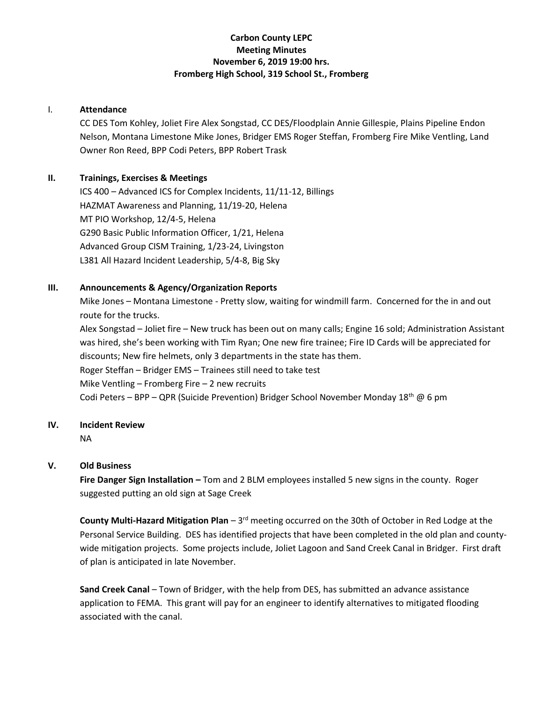# **Carbon County LEPC Meeting Minutes November 6, 2019 19:00 hrs. Fromberg High School, 319 School St., Fromberg**

### I. **Attendance**

CC DES Tom Kohley, Joliet Fire Alex Songstad, CC DES/Floodplain Annie Gillespie, Plains Pipeline Endon Nelson, Montana Limestone Mike Jones, Bridger EMS Roger Steffan, Fromberg Fire Mike Ventling, Land Owner Ron Reed, BPP Codi Peters, BPP Robert Trask

## **II. Trainings, Exercises & Meetings**

ICS 400 – Advanced ICS for Complex Incidents, 11/11-12, Billings HAZMAT Awareness and Planning, 11/19-20, Helena MT PIO Workshop, 12/4-5, Helena G290 Basic Public Information Officer, 1/21, Helena Advanced Group CISM Training, 1/23-24, Livingston L381 All Hazard Incident Leadership, 5/4-8, Big Sky

### **III. Announcements & Agency/Organization Reports**

Mike Jones – Montana Limestone - Pretty slow, waiting for windmill farm. Concerned for the in and out route for the trucks.

Alex Songstad – Joliet fire – New truck has been out on many calls; Engine 16 sold; Administration Assistant was hired, she's been working with Tim Ryan; One new fire trainee; Fire ID Cards will be appreciated for discounts; New fire helmets, only 3 departments in the state has them. Roger Steffan – Bridger EMS – Trainees still need to take test Mike Ventling – Fromberg Fire – 2 new recruits Codi Peters – BPP – QPR (Suicide Prevention) Bridger School November Monday 18<sup>th</sup> @ 6 pm

### **IV. Incident Review**

NA

## **V. Old Business**

**Fire Danger Sign Installation –** Tom and 2 BLM employees installed 5 new signs in the county. Roger suggested putting an old sign at Sage Creek

County Multi-Hazard Mitigation Plan - 3<sup>rd</sup> meeting occurred on the 30th of October in Red Lodge at the Personal Service Building. DES has identified projects that have been completed in the old plan and countywide mitigation projects. Some projects include, Joliet Lagoon and Sand Creek Canal in Bridger. First draft of plan is anticipated in late November.

**Sand Creek Canal** – Town of Bridger, with the help from DES, has submitted an advance assistance application to FEMA. This grant will pay for an engineer to identify alternatives to mitigated flooding associated with the canal.